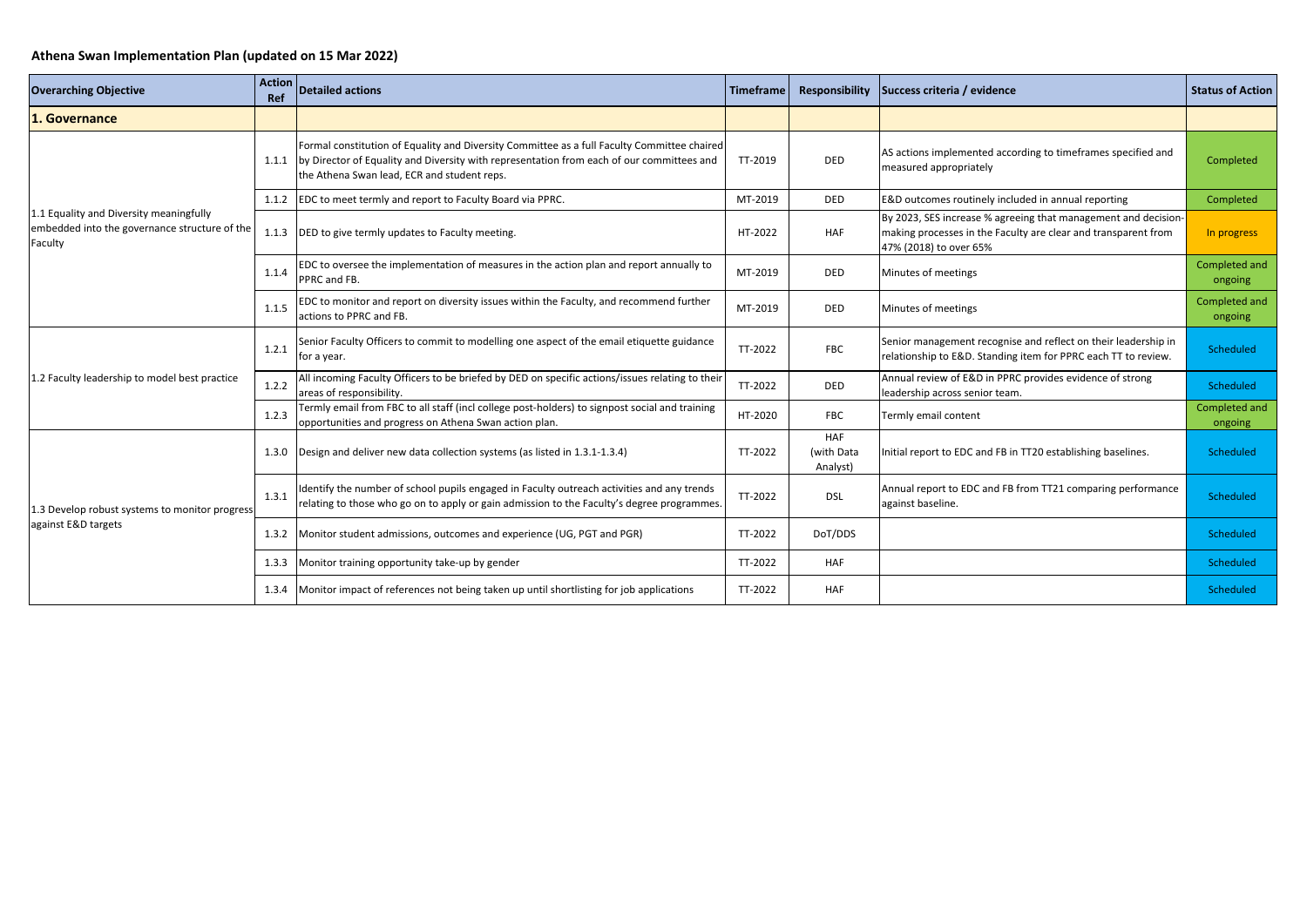## **Athena Swan Implementation Plan (updated on 15 Mar 2022)**

| <b>Overarching Objective</b>                                                                        | <b>Action</b><br>Ref | <b>Detailed actions</b>                                                                                                                                                                                                                 | Timeframe |                                      | Responsibility Success criteria / evidence                                                                                                                 | <b>Status of Action</b>  |
|-----------------------------------------------------------------------------------------------------|----------------------|-----------------------------------------------------------------------------------------------------------------------------------------------------------------------------------------------------------------------------------------|-----------|--------------------------------------|------------------------------------------------------------------------------------------------------------------------------------------------------------|--------------------------|
| 1. Governance                                                                                       |                      |                                                                                                                                                                                                                                         |           |                                      |                                                                                                                                                            |                          |
| 1.1 Equality and Diversity meaningfully<br>embedded into the governance structure of the<br>Faculty | 1.1.1                | Formal constitution of Equality and Diversity Committee as a full Faculty Committee chaired<br>by Director of Equality and Diversity with representation from each of our committees and<br>the Athena Swan lead, ECR and student reps. | TT-2019   | <b>DED</b>                           | AS actions implemented according to timeframes specified and<br>measured appropriately                                                                     | Completed                |
|                                                                                                     |                      | 1.1.2 EDC to meet termly and report to Faculty Board via PPRC.                                                                                                                                                                          | MT-2019   | <b>DED</b>                           | E&D outcomes routinely included in annual reporting                                                                                                        | Completed                |
|                                                                                                     | 1.1.3                | DED to give termly updates to Faculty meeting.                                                                                                                                                                                          | HT-2022   | HAF                                  | By 2023, SES increase % agreeing that management and decision-<br>making processes in the Faculty are clear and transparent from<br>47% (2018) to over 65% | In progress              |
|                                                                                                     | 1.1.4                | EDC to oversee the implementation of measures in the action plan and report annually to<br>PPRC and FB.                                                                                                                                 | MT-2019   | <b>DED</b>                           | Minutes of meetings                                                                                                                                        | Completed and<br>ongoing |
|                                                                                                     | 1.1.5                | EDC to monitor and report on diversity issues within the Faculty, and recommend further<br>actions to PPRC and FB.                                                                                                                      | MT-2019   | <b>DED</b>                           | Minutes of meetings                                                                                                                                        | Completed and<br>ongoing |
|                                                                                                     | 1.2.1                | Senior Faculty Officers to commit to modelling one aspect of the email etiquette guidance<br>for a year.                                                                                                                                | TT-2022   | <b>FBC</b>                           | Senior management recognise and reflect on their leadership in<br>relationship to E&D. Standing item for PPRC each TT to review.                           | Scheduled                |
| 1.2 Faculty leadership to model best practice                                                       | 1.2.2                | All incoming Faculty Officers to be briefed by DED on specific actions/issues relating to their<br>areas of responsibility.                                                                                                             | TT-2022   | DED                                  | Annual review of E&D in PPRC provides evidence of strong<br>leadership across senior team.                                                                 | Scheduled                |
|                                                                                                     | 1.2.3                | Termly email from FBC to all staff (incl college post-holders) to signpost social and training<br>opportunities and progress on Athena Swan action plan.                                                                                | HT-2020   | <b>FBC</b>                           | Termly email content                                                                                                                                       | Completed and<br>ongoing |
|                                                                                                     | 1.3.0                | Design and deliver new data collection systems (as listed in 1.3.1-1.3.4)                                                                                                                                                               | TT-2022   | <b>HAF</b><br>(with Data<br>Analyst) | Initial report to EDC and FB in TT20 establishing baselines.                                                                                               | Scheduled                |
| 1.3 Develop robust systems to monitor progress                                                      | 1.3.1                | Identify the number of school pupils engaged in Faculty outreach activities and any trends<br>relating to those who go on to apply or gain admission to the Faculty's degree programmes.                                                | TT-2022   | <b>DSL</b>                           | Annual report to EDC and FB from TT21 comparing performance<br>against baseline.                                                                           | Scheduled                |
|                                                                                                     |                      | 1.3.2   Monitor student admissions, outcomes and experience (UG, PGT and PGR)                                                                                                                                                           | TT-2022   | DoT/DDS                              |                                                                                                                                                            | Scheduled                |
|                                                                                                     |                      | 1.3.3 Monitor training opportunity take-up by gender                                                                                                                                                                                    | TT-2022   | <b>HAF</b>                           |                                                                                                                                                            | Scheduled                |
| against E&D targets                                                                                 |                      | 1.3.4 Monitor impact of references not being taken up until shortlisting for job applications                                                                                                                                           | TT-2022   | <b>HAF</b>                           |                                                                                                                                                            | Scheduled                |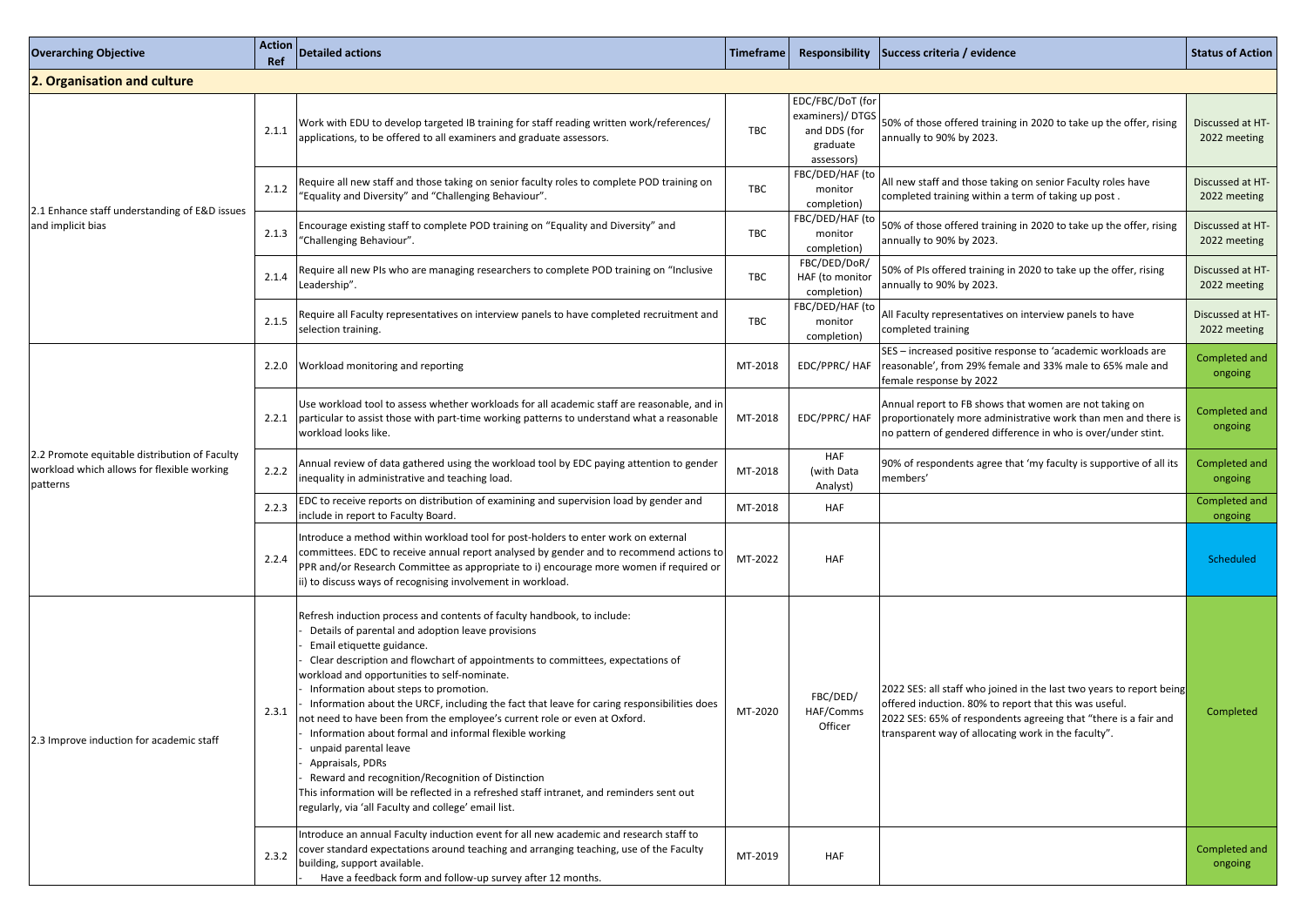| <b>Overarching Objective</b>                                                                            | <b>Action</b><br>Ref | <b>Detailed actions</b>                                                                                                                                                                                                                                                                                                                                                                                                                                                                                                                                                                                                                                                                                                                                                                                                         | Timeframe  | Responsibility                                                                | Success criteria / evidence                                                                                                                                                                                                                                | <b>Status of Action</b>          |
|---------------------------------------------------------------------------------------------------------|----------------------|---------------------------------------------------------------------------------------------------------------------------------------------------------------------------------------------------------------------------------------------------------------------------------------------------------------------------------------------------------------------------------------------------------------------------------------------------------------------------------------------------------------------------------------------------------------------------------------------------------------------------------------------------------------------------------------------------------------------------------------------------------------------------------------------------------------------------------|------------|-------------------------------------------------------------------------------|------------------------------------------------------------------------------------------------------------------------------------------------------------------------------------------------------------------------------------------------------------|----------------------------------|
| 2. Organisation and culture                                                                             |                      |                                                                                                                                                                                                                                                                                                                                                                                                                                                                                                                                                                                                                                                                                                                                                                                                                                 |            |                                                                               |                                                                                                                                                                                                                                                            |                                  |
|                                                                                                         | 2.1.1                | Work with EDU to develop targeted IB training for staff reading written work/references/<br>applications, to be offered to all examiners and graduate assessors.                                                                                                                                                                                                                                                                                                                                                                                                                                                                                                                                                                                                                                                                | <b>TBC</b> | EDC/FBC/DoT (for<br>examiners)/DTGS<br>and DDS (for<br>graduate<br>assessors) | 50% of those offered training in 2020 to take up the offer, rising<br>annually to 90% by 2023.                                                                                                                                                             | Discussed at HT-<br>2022 meeting |
|                                                                                                         | 2.1.2                | Require all new staff and those taking on senior faculty roles to complete POD training on<br>"Equality and Diversity" and "Challenging Behaviour".                                                                                                                                                                                                                                                                                                                                                                                                                                                                                                                                                                                                                                                                             | <b>TBC</b> | FBC/DED/HAF (to<br>monitor<br>completion)                                     | All new staff and those taking on senior Faculty roles have<br>completed training within a term of taking up post.                                                                                                                                         | Discussed at HT-<br>2022 meeting |
| 2.1 Enhance staff understanding of E&D issues<br>and implicit bias                                      | 2.1.3                | Encourage existing staff to complete POD training on "Equality and Diversity" and<br>'Challenging Behaviour".                                                                                                                                                                                                                                                                                                                                                                                                                                                                                                                                                                                                                                                                                                                   | <b>TBC</b> | FBC/DED/HAF (to<br>monitor<br>completion)                                     | 50% of those offered training in 2020 to take up the offer, rising<br>annually to 90% by 2023.                                                                                                                                                             | Discussed at HT-<br>2022 meeting |
|                                                                                                         | 2.1.4                | Require all new PIs who are managing researchers to complete POD training on "Inclusive<br>Leadership".                                                                                                                                                                                                                                                                                                                                                                                                                                                                                                                                                                                                                                                                                                                         | <b>TBC</b> | FBC/DED/DoR/<br>HAF (to monitor<br>completion)                                | 50% of PIs offered training in 2020 to take up the offer, rising<br>annually to 90% by 2023.                                                                                                                                                               | Discussed at HT-<br>2022 meeting |
|                                                                                                         | 2.1.5                | Require all Faculty representatives on interview panels to have completed recruitment and<br>selection training.                                                                                                                                                                                                                                                                                                                                                                                                                                                                                                                                                                                                                                                                                                                | <b>TBC</b> | FBC/DED/HAF (to<br>monitor<br>completion)                                     | All Faculty representatives on interview panels to have<br>completed training                                                                                                                                                                              | Discussed at HT-<br>2022 meeting |
| 2.2 Promote equitable distribution of Faculty<br>workload which allows for flexible working<br>patterns | 2.2.0                | Workload monitoring and reporting                                                                                                                                                                                                                                                                                                                                                                                                                                                                                                                                                                                                                                                                                                                                                                                               | MT-2018    | EDC/PPRC/ HAF                                                                 | SES - increased positive response to 'academic workloads are<br>reasonable', from 29% female and 33% male to 65% male and<br>female response by 2022                                                                                                       | Completed and<br>ongoing         |
|                                                                                                         | 2.2.1                | Use workload tool to assess whether workloads for all academic staff are reasonable, and in<br>particular to assist those with part-time working patterns to understand what a reasonable<br>workload looks like.                                                                                                                                                                                                                                                                                                                                                                                                                                                                                                                                                                                                               | MT-2018    | EDC/PPRC/ HAF                                                                 | Annual report to FB shows that women are not taking on<br>proportionately more administrative work than men and there is<br>no pattern of gendered difference in who is over/under stint.                                                                  | Completed and<br>ongoing         |
|                                                                                                         | 2.2.2                | Annual review of data gathered using the workload tool by EDC paying attention to gender<br>inequality in administrative and teaching load.                                                                                                                                                                                                                                                                                                                                                                                                                                                                                                                                                                                                                                                                                     | MT-2018    | <b>HAF</b><br>(with Data<br>Analyst)                                          | 90% of respondents agree that 'my faculty is supportive of all its<br>members'                                                                                                                                                                             | Completed and<br>ongoing         |
|                                                                                                         | 2.2.3                | EDC to receive reports on distribution of examining and supervision load by gender and<br>include in report to Faculty Board.                                                                                                                                                                                                                                                                                                                                                                                                                                                                                                                                                                                                                                                                                                   | MT-2018    | <b>HAF</b>                                                                    |                                                                                                                                                                                                                                                            | Completed and<br>ongoing         |
|                                                                                                         | 2.2.4                | Introduce a method within workload tool for post-holders to enter work on external<br>committees. EDC to receive annual report analysed by gender and to recommend actions to<br>PPR and/or Research Committee as appropriate to i) encourage more women if required or<br>ii) to discuss ways of recognising involvement in workload.                                                                                                                                                                                                                                                                                                                                                                                                                                                                                          | MT-2022    | <b>HAF</b>                                                                    |                                                                                                                                                                                                                                                            | Scheduled                        |
| 2.3 Improve induction for academic staff                                                                | 2.3.1                | Refresh induction process and contents of faculty handbook, to include:<br>Details of parental and adoption leave provisions<br>Email etiquette guidance.<br>Clear description and flowchart of appointments to committees, expectations of<br>workload and opportunities to self-nominate.<br>Information about steps to promotion.<br>Information about the URCF, including the fact that leave for caring responsibilities does<br>not need to have been from the employee's current role or even at Oxford.<br>Information about formal and informal flexible working<br>unpaid parental leave<br>Appraisals, PDRs<br>Reward and recognition/Recognition of Distinction<br>This information will be reflected in a refreshed staff intranet, and reminders sent out<br>regularly, via 'all Faculty and college' email list. | MT-2020    | FBC/DED/<br>HAF/Comms<br>Officer                                              | [2022 SES: all staff who joined in the last two years to report being]<br>offered induction. 80% to report that this was useful.<br>2022 SES: 65% of respondents agreeing that "there is a fair and<br>transparent way of allocating work in the faculty". | Completed                        |
|                                                                                                         | 2.3.2                | Introduce an annual Faculty induction event for all new academic and research staff to<br>cover standard expectations around teaching and arranging teaching, use of the Faculty<br>building, support available.<br>Have a feedback form and follow-up survey after 12 months.                                                                                                                                                                                                                                                                                                                                                                                                                                                                                                                                                  | MT-2019    | <b>HAF</b>                                                                    |                                                                                                                                                                                                                                                            | Completed and<br>ongoing         |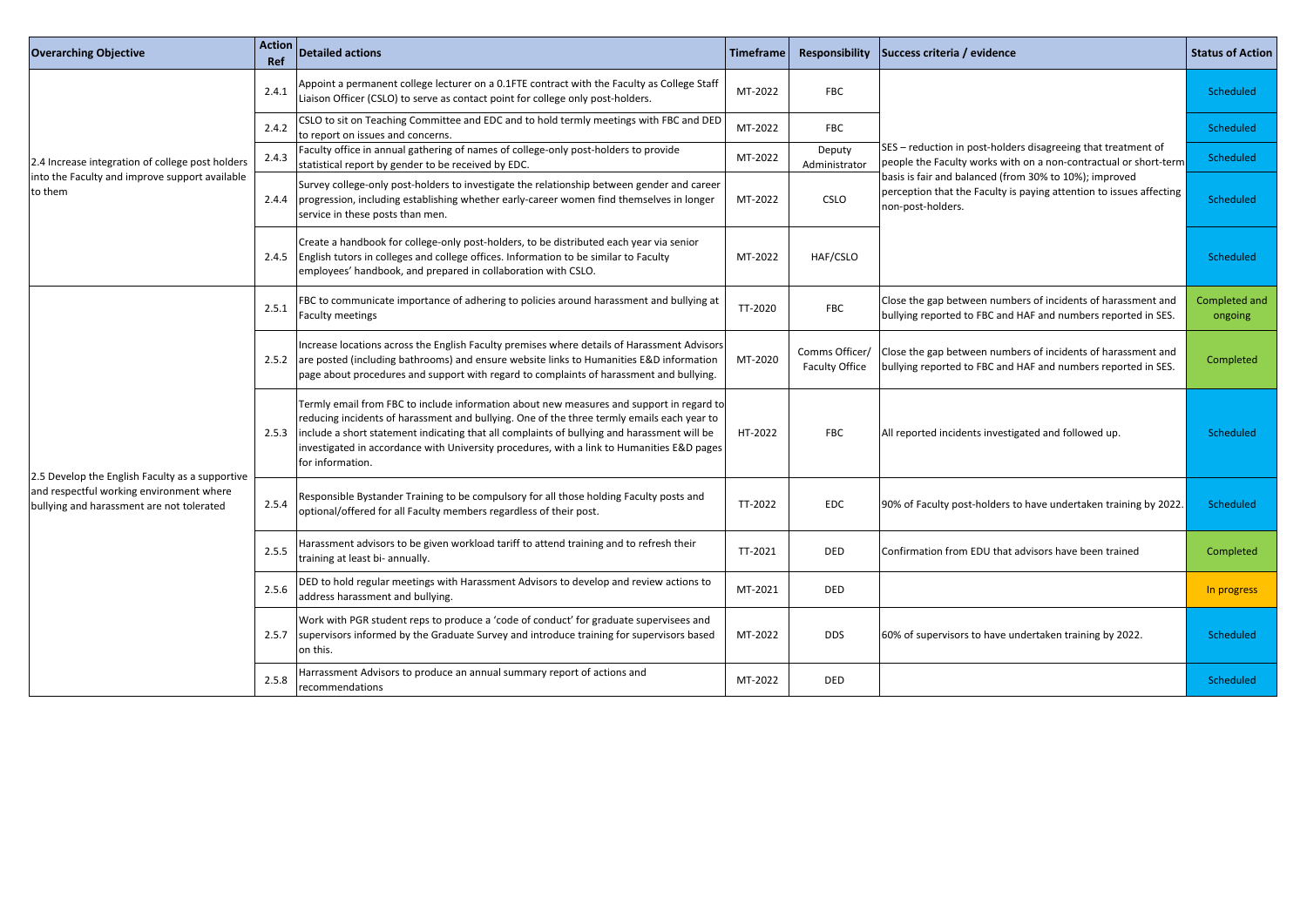| <b>Overarching Objective</b>                                                          | <b>Action</b><br>Ref | Detailed actions                                                                                                                                                                                                                                                                                                                                                                                        | <b>Timeframe</b> | Responsibility                          | Success criteria / evidence                                                                                                                        | <b>Status of Action</b>  |
|---------------------------------------------------------------------------------------|----------------------|---------------------------------------------------------------------------------------------------------------------------------------------------------------------------------------------------------------------------------------------------------------------------------------------------------------------------------------------------------------------------------------------------------|------------------|-----------------------------------------|----------------------------------------------------------------------------------------------------------------------------------------------------|--------------------------|
|                                                                                       | 2.4.1                | Appoint a permanent college lecturer on a 0.1FTE contract with the Faculty as College Staff<br>Liaison Officer (CSLO) to serve as contact point for college only post-holders.                                                                                                                                                                                                                          | MT-2022          | <b>FBC</b>                              |                                                                                                                                                    | Scheduled                |
|                                                                                       | 2.4.2                | CSLO to sit on Teaching Committee and EDC and to hold termly meetings with FBC and DED<br>to report on issues and concerns.                                                                                                                                                                                                                                                                             | MT-2022          | <b>FBC</b>                              |                                                                                                                                                    | Scheduled                |
| 2.4 Increase integration of college post holders                                      | 2.4.3                | Faculty office in annual gathering of names of college-only post-holders to provide<br>statistical report by gender to be received by EDC.                                                                                                                                                                                                                                                              | MT-2022          | Deputy<br>Administrator                 | SES – reduction in post-holders disagreeing that treatment of<br>people the Faculty works with on a non-contractual or short-term                  | Scheduled                |
| into the Faculty and improve support available<br>to them                             | 2.4.4                | Survey college-only post-holders to investigate the relationship between gender and career<br>progression, including establishing whether early-career women find themselves in longer<br>service in these posts than men.                                                                                                                                                                              | MT-2022          | CSLO                                    | basis is fair and balanced (from 30% to 10%); improved<br>perception that the Faculty is paying attention to issues affecting<br>non-post-holders. | Scheduled                |
|                                                                                       | 2.4.5                | Create a handbook for college-only post-holders, to be distributed each year via senior<br>English tutors in colleges and college offices. Information to be similar to Faculty<br>employees' handbook, and prepared in collaboration with CSLO.                                                                                                                                                        | MT-2022          | HAF/CSLO                                |                                                                                                                                                    | Scheduled                |
|                                                                                       | 2.5.1                | FBC to communicate importance of adhering to policies around harassment and bullying at<br><b>Faculty meetings</b>                                                                                                                                                                                                                                                                                      | TT-2020          | <b>FBC</b>                              | Close the gap between numbers of incidents of harassment and<br>bullying reported to FBC and HAF and numbers reported in SES.                      | Completed and<br>ongoing |
|                                                                                       |                      | Increase locations across the English Faculty premises where details of Harassment Advisors<br>2.5.2 are posted (including bathrooms) and ensure website links to Humanities E&D information<br>page about procedures and support with regard to complaints of harassment and bullying.                                                                                                                 | MT-2020          | Comms Officer/<br><b>Faculty Office</b> | Close the gap between numbers of incidents of harassment and<br>bullying reported to FBC and HAF and numbers reported in SES.                      | Completed                |
| 2.5 Develop the English Faculty as a supportive                                       | 2.5.3                | Termly email from FBC to include information about new measures and support in regard to<br>reducing incidents of harassment and bullying. One of the three termly emails each year to<br>include a short statement indicating that all complaints of bullying and harassment will be<br>investigated in accordance with University procedures, with a link to Humanities E&D pages<br>for information. | HT-2022          | <b>FBC</b>                              | All reported incidents investigated and followed up.                                                                                               | Scheduled                |
| and respectful working environment where<br>bullying and harassment are not tolerated | 2.5.4                | Responsible Bystander Training to be compulsory for all those holding Faculty posts and<br>optional/offered for all Faculty members regardless of their post.                                                                                                                                                                                                                                           | TT-2022          | <b>EDC</b>                              | 190% of Faculty post-holders to have undertaken training by 2022.                                                                                  | Scheduled                |
|                                                                                       | 2.5.5                | Harassment advisors to be given workload tariff to attend training and to refresh their<br>training at least bi- annually.                                                                                                                                                                                                                                                                              | TT-2021          | DED                                     | Confirmation from EDU that advisors have been trained                                                                                              | Completed                |
|                                                                                       | 2.5.6                | DED to hold regular meetings with Harassment Advisors to develop and review actions to<br>address harassment and bullying.                                                                                                                                                                                                                                                                              | MT-2021          | <b>DED</b>                              |                                                                                                                                                    | In progress              |
|                                                                                       | 2.5.7                | Work with PGR student reps to produce a 'code of conduct' for graduate supervisees and<br>supervisors informed by the Graduate Survey and introduce training for supervisors based<br>on this.                                                                                                                                                                                                          | MT-2022          | <b>DDS</b>                              | 160% of supervisors to have undertaken training by 2022.                                                                                           | Scheduled                |
|                                                                                       | 2.5.8                | Harrassment Advisors to produce an annual summary report of actions and<br>recommendations                                                                                                                                                                                                                                                                                                              | MT-2022          | DED                                     |                                                                                                                                                    | Scheduled                |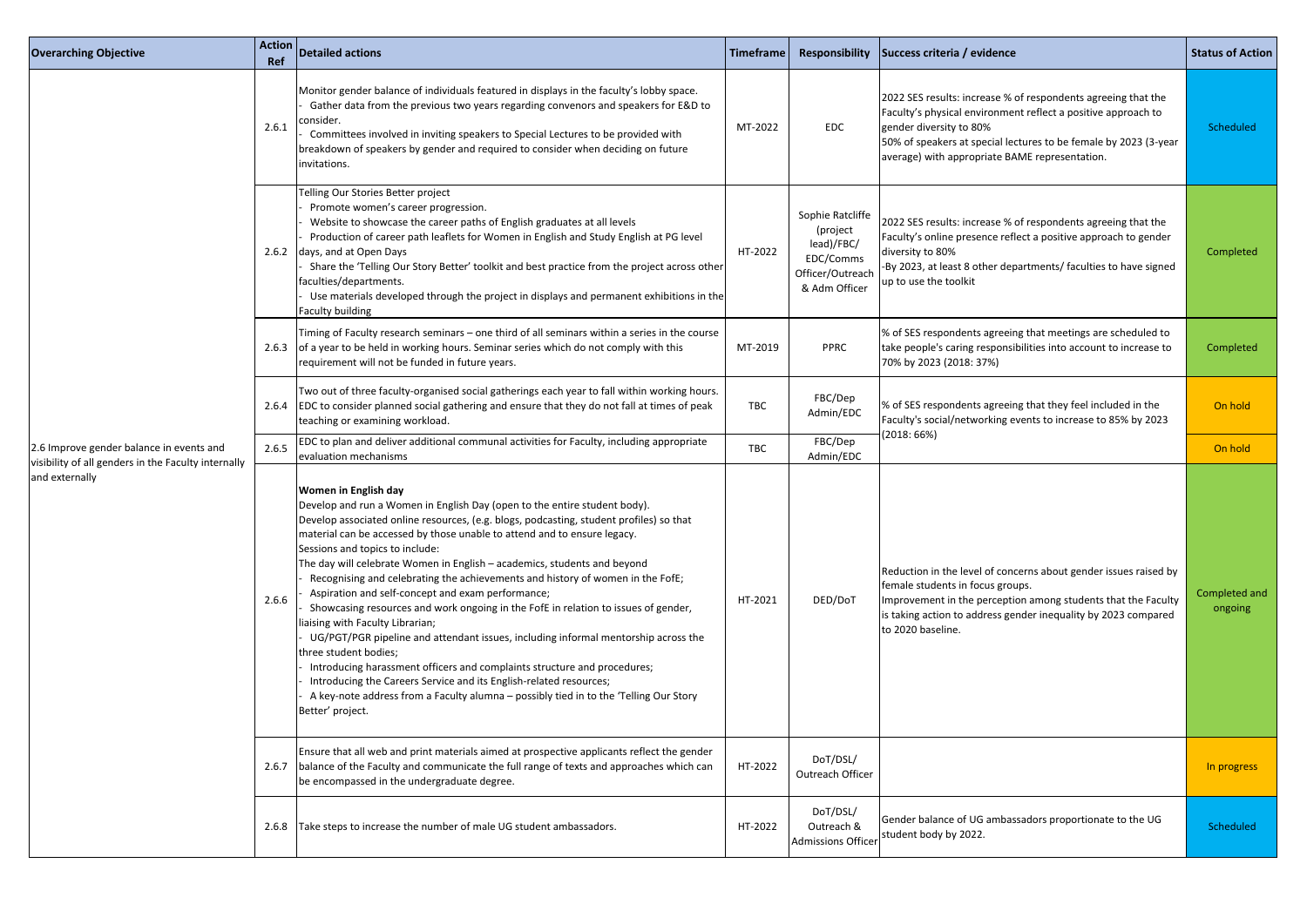| <b>Overarching Objective</b>                                          | <b>Action</b><br>Ref | Detailed actions                                                                                                                                                                                                                                                                                                                                                                                                                                                                                                                                                                                                                                                                                                                                                                                                                                                                                                                                                                                                                              | Timeframe  | Responsibility                                                                               | Success criteria / evidence                                                                                                                                                                                                                                                     | <b>Status of Action</b>  |
|-----------------------------------------------------------------------|----------------------|-----------------------------------------------------------------------------------------------------------------------------------------------------------------------------------------------------------------------------------------------------------------------------------------------------------------------------------------------------------------------------------------------------------------------------------------------------------------------------------------------------------------------------------------------------------------------------------------------------------------------------------------------------------------------------------------------------------------------------------------------------------------------------------------------------------------------------------------------------------------------------------------------------------------------------------------------------------------------------------------------------------------------------------------------|------------|----------------------------------------------------------------------------------------------|---------------------------------------------------------------------------------------------------------------------------------------------------------------------------------------------------------------------------------------------------------------------------------|--------------------------|
|                                                                       | 2.6.1                | Monitor gender balance of individuals featured in displays in the faculty's lobby space.<br>Gather data from the previous two years regarding convenors and speakers for E&D to<br>consider.<br>Committees involved in inviting speakers to Special Lectures to be provided with<br>breakdown of speakers by gender and required to consider when deciding on future<br>invitations.                                                                                                                                                                                                                                                                                                                                                                                                                                                                                                                                                                                                                                                          | MT-2022    | EDC                                                                                          | 2022 SES results: increase % of respondents agreeing that the<br>Faculty's physical environment reflect a positive approach to<br>gender diversity to 80%<br>50% of speakers at special lectures to be female by 2023 (3-year<br>average) with appropriate BAME representation. | Scheduled                |
|                                                                       |                      | Telling Our Stories Better project<br>Promote women's career progression.<br>Website to showcase the career paths of English graduates at all levels<br>Production of career path leaflets for Women in English and Study English at PG level<br>2.6.2 days, and at Open Days<br>Share the 'Telling Our Story Better' toolkit and best practice from the project across other<br>faculties/departments.<br>Use materials developed through the project in displays and permanent exhibitions in the<br><b>Faculty building</b>                                                                                                                                                                                                                                                                                                                                                                                                                                                                                                                | HT-2022    | Sophie Ratcliffe<br>(project<br>lead)/FBC/<br>EDC/Comms<br>Officer/Outreach<br>& Adm Officer | 2022 SES results: increase % of respondents agreeing that the<br>Faculty's online presence reflect a positive approach to gender<br>diversity to 80%<br>-By 2023, at least 8 other departments/ faculties to have signed<br>up to use the toolkit                               | Completed                |
|                                                                       |                      | Timing of Faculty research seminars – one third of all seminars within a series in the course<br>2.6.3 of a year to be held in working hours. Seminar series which do not comply with this<br>requirement will not be funded in future years.                                                                                                                                                                                                                                                                                                                                                                                                                                                                                                                                                                                                                                                                                                                                                                                                 | MT-2019    | <b>PPRC</b>                                                                                  | % of SES respondents agreeing that meetings are scheduled to<br>take people's caring responsibilities into account to increase to<br>70% by 2023 (2018: 37%)                                                                                                                    | Completed                |
| 2.6 Improve gender balance in events and                              |                      | Two out of three faculty-organised social gatherings each year to fall within working hours.<br>2.6.4 EDC to consider planned social gathering and ensure that they do not fall at times of peak<br>teaching or examining workload.                                                                                                                                                                                                                                                                                                                                                                                                                                                                                                                                                                                                                                                                                                                                                                                                           | <b>TBC</b> | FBC/Dep<br>Admin/EDC                                                                         | % of SES respondents agreeing that they feel included in the<br>Faculty's social/networking events to increase to 85% by 2023                                                                                                                                                   | On hold                  |
|                                                                       | 2.6.5                | EDC to plan and deliver additional communal activities for Faculty, including appropriate<br>evaluation mechanisms                                                                                                                                                                                                                                                                                                                                                                                                                                                                                                                                                                                                                                                                                                                                                                                                                                                                                                                            | <b>TBC</b> | FBC/Dep<br>Admin/EDC                                                                         | (2018:66%)                                                                                                                                                                                                                                                                      | On hold                  |
| visibility of all genders in the Faculty internally<br>and externally | 2.6.6                | <b>Women in English day</b><br>Develop and run a Women in English Day (open to the entire student body).<br>Develop associated online resources, (e.g. blogs, podcasting, student profiles) so that<br>material can be accessed by those unable to attend and to ensure legacy.<br>Sessions and topics to include:<br>The day will celebrate Women in English - academics, students and beyond<br>Recognising and celebrating the achievements and history of women in the FofE;<br>Aspiration and self-concept and exam performance;<br>Showcasing resources and work ongoing in the FofE in relation to issues of gender,<br>liaising with Faculty Librarian;<br>UG/PGT/PGR pipeline and attendant issues, including informal mentorship across the<br>three student bodies;<br>Introducing harassment officers and complaints structure and procedures;<br>Introducing the Careers Service and its English-related resources;<br>A key-note address from a Faculty alumna - possibly tied in to the 'Telling Our Story<br>Better' project. | HT-2021    | DED/DoT                                                                                      | Reduction in the level of concerns about gender issues raised by<br>female students in focus groups.<br>Improvement in the perception among students that the Faculty<br>is taking action to address gender inequality by 2023 compared<br>to 2020 baseline.                    | Completed and<br>ongoing |
|                                                                       | 2.6.7                | Ensure that all web and print materials aimed at prospective applicants reflect the gender<br>balance of the Faculty and communicate the full range of texts and approaches which can<br>be encompassed in the undergraduate degree.                                                                                                                                                                                                                                                                                                                                                                                                                                                                                                                                                                                                                                                                                                                                                                                                          | HT-2022    | DoT/DSL/<br>Outreach Officer                                                                 |                                                                                                                                                                                                                                                                                 | In progress              |
|                                                                       |                      | 2.6.8 Take steps to increase the number of male UG student ambassadors.                                                                                                                                                                                                                                                                                                                                                                                                                                                                                                                                                                                                                                                                                                                                                                                                                                                                                                                                                                       | HT-2022    | DoT/DSL/<br>Outreach &<br><b>Admissions Officer</b>                                          | Gender balance of UG ambassadors proportionate to the UG<br>student body by 2022.                                                                                                                                                                                               | Scheduled                |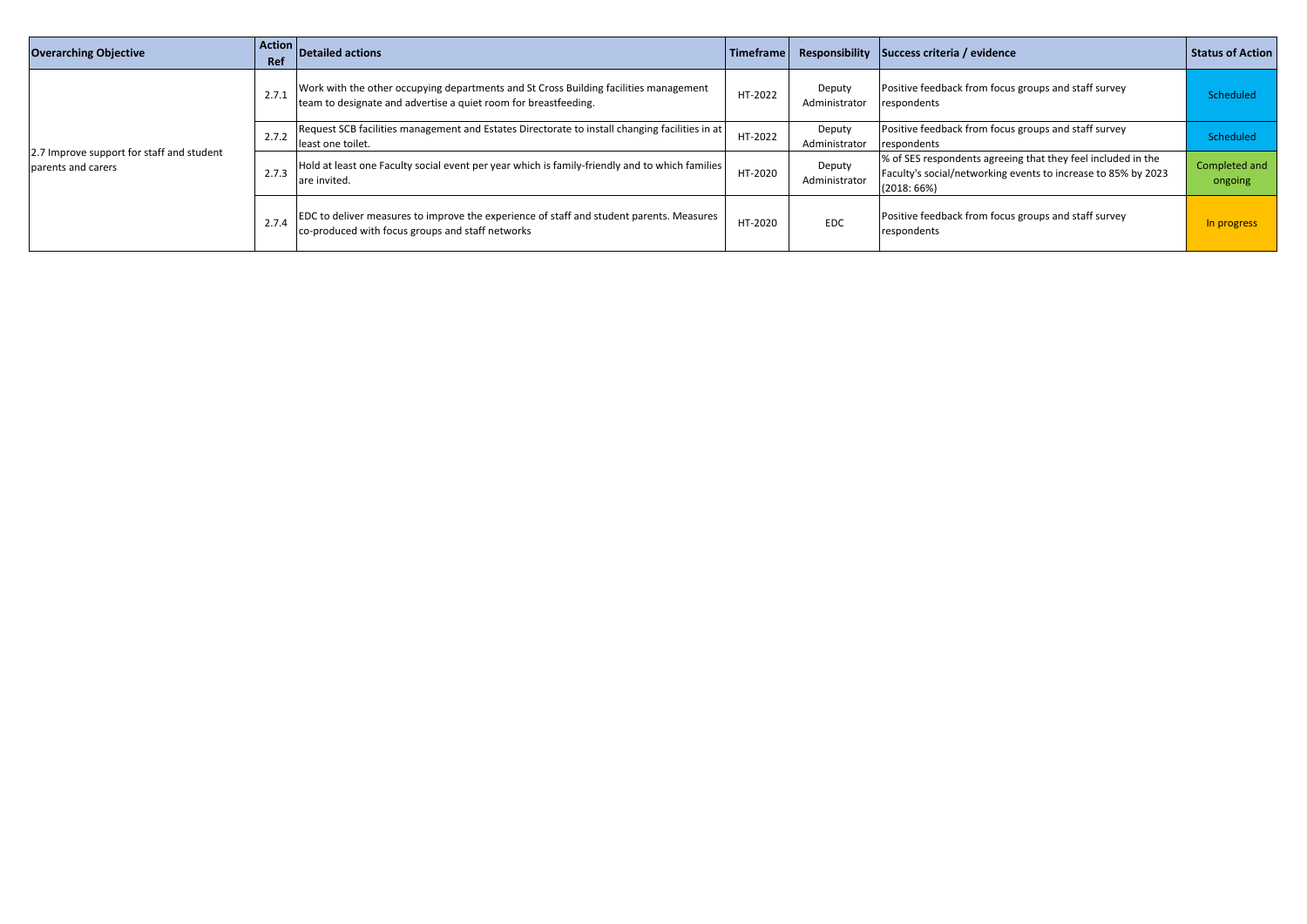| <b>Overarching Objective</b>                                    | Action<br>Ref | <b>Detailed actions</b>                                                                                                                                  | Timeframe |                         | Responsibility Success criteria / evidence                                                                                                  | <b>Status of Action</b>  |
|-----------------------------------------------------------------|---------------|----------------------------------------------------------------------------------------------------------------------------------------------------------|-----------|-------------------------|---------------------------------------------------------------------------------------------------------------------------------------------|--------------------------|
| 2.7 Improve support for staff and student<br>parents and carers | 2.7.1         | Work with the other occupying departments and St Cross Building facilities management<br>team to designate and advertise a quiet room for breastfeeding. | HT-2022   | Deputy<br>Administrator | Positive feedback from focus groups and staff survey<br>respondents                                                                         | Scheduled                |
|                                                                 | 2.7.2         | Request SCB facilities management and Estates Directorate to install changing facilities in at<br>least one toilet.                                      | HT-2022   | Deputy<br>Administrator | Positive feedback from focus groups and staff survey<br>respondents                                                                         | Scheduled                |
|                                                                 | 2.7.3         | $\blacksquare$ Hold at least one Faculty social event per year which is family-friendly and to which families $\mathbin\Vert$<br>are invited.            | HT-2020   | Deputy<br>Administrator | % of SES respondents agreeing that they feel included in the<br>Faculty's social/networking events to increase to 85% by 2023<br>(2018:66%) | Completed and<br>ongoing |
|                                                                 | 2.7.4         | EDC to deliver measures to improve the experience of staff and student parents. Measures<br>co-produced with focus groups and staff networks             | HT-2020   | <b>EDC</b>              | Positive feedback from focus groups and staff survey<br>respondents                                                                         | In progress              |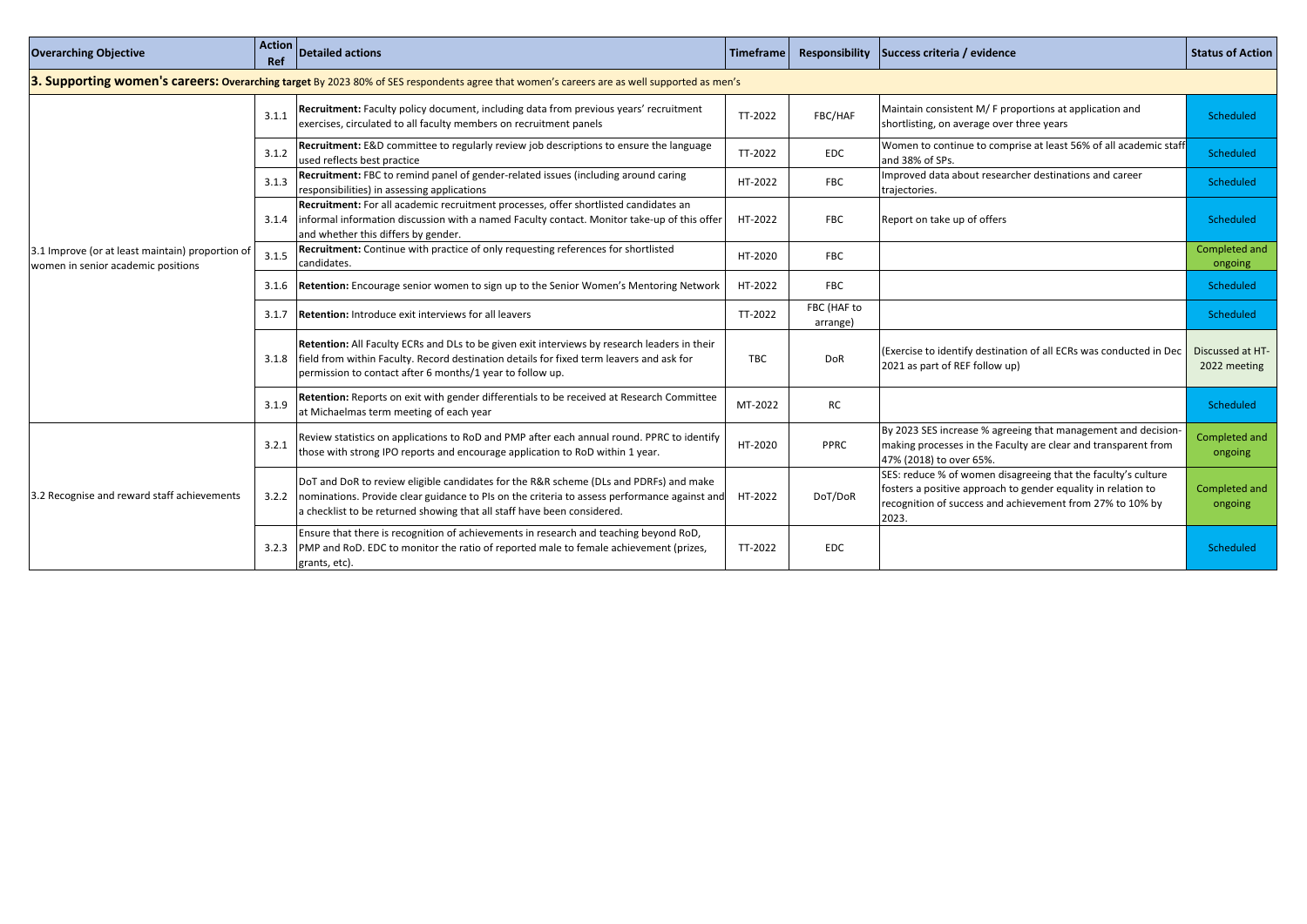| <b>Overarching Objective</b>                                                           | <b>Action</b><br><b>Ref</b> | <b>Detailed actions</b>                                                                                                                                                                                                                                                          | <b>Timeframe</b> | Responsibility          | Success criteria / evidence                                                                                                                                                                          | <b>Status of Action</b>          |
|----------------------------------------------------------------------------------------|-----------------------------|----------------------------------------------------------------------------------------------------------------------------------------------------------------------------------------------------------------------------------------------------------------------------------|------------------|-------------------------|------------------------------------------------------------------------------------------------------------------------------------------------------------------------------------------------------|----------------------------------|
|                                                                                        |                             | 3. Supporting women's careers: Overarching target By 2023 80% of SES respondents agree that women's careers are as well supported as men's                                                                                                                                       |                  |                         |                                                                                                                                                                                                      |                                  |
|                                                                                        | 3.1.1                       | Recruitment: Faculty policy document, including data from previous years' recruitment<br>exercises, circulated to all faculty members on recruitment panels                                                                                                                      | TT-2022          | FBC/HAF                 | Maintain consistent M/ F proportions at application and<br>shortlisting, on average over three years                                                                                                 | Scheduled                        |
|                                                                                        | 3.1.2                       | Recruitment: E&D committee to regularly review job descriptions to ensure the language<br>used reflects best practice                                                                                                                                                            | TT-2022          | EDC                     | Women to continue to comprise at least 56% of all academic staff<br>and 38% of SPs.                                                                                                                  | Scheduled                        |
|                                                                                        | 3.1.3                       | Recruitment: FBC to remind panel of gender-related issues (including around caring<br>responsibilities) in assessing applications                                                                                                                                                | HT-2022          | <b>FBC</b>              | Improved data about researcher destinations and career<br>trajectories.                                                                                                                              | Scheduled                        |
|                                                                                        | 3.1.4                       | Recruitment: For all academic recruitment processes, offer shortlisted candidates an<br>informal information discussion with a named Faculty contact. Monitor take-up of this offer<br>and whether this differs by gender.                                                       | HT-2022          | <b>FBC</b>              | Report on take up of offers                                                                                                                                                                          | Scheduled                        |
| 3.1 Improve (or at least maintain) proportion of<br>women in senior academic positions | 3.1.5                       | Recruitment: Continue with practice of only requesting references for shortlisted<br>candidates.                                                                                                                                                                                 | HT-2020          | <b>FBC</b>              |                                                                                                                                                                                                      | Completed and<br>ongoing         |
|                                                                                        | 3.1.6                       | Retention: Encourage senior women to sign up to the Senior Women's Mentoring Network                                                                                                                                                                                             | HT-2022          | <b>FBC</b>              |                                                                                                                                                                                                      | Scheduled                        |
|                                                                                        | 3.1.7                       | <b>Retention:</b> Introduce exit interviews for all leavers                                                                                                                                                                                                                      | TT-2022          | FBC (HAF to<br>arrange) |                                                                                                                                                                                                      | Scheduled                        |
|                                                                                        | 3.1.8                       | Retention: All Faculty ECRs and DLs to be given exit interviews by research leaders in their<br>field from within Faculty. Record destination details for fixed term leavers and ask for<br>permission to contact after 6 months/1 year to follow up.                            | TBC              | <b>DoR</b>              | (Exercise to identify destination of all ECRs was conducted in Dec<br>2021 as part of REF follow up)                                                                                                 | Discussed at HT-<br>2022 meeting |
|                                                                                        | 3.1.9                       | Retention: Reports on exit with gender differentials to be received at Research Committee<br>at Michaelmas term meeting of each year                                                                                                                                             | MT-2022          | <b>RC</b>               |                                                                                                                                                                                                      | Scheduled                        |
|                                                                                        | 3.2.1                       | Review statistics on applications to RoD and PMP after each annual round. PPRC to identify<br>those with strong IPO reports and encourage application to RoD within 1 year.                                                                                                      | HT-2020          | <b>PPRC</b>             | By 2023 SES increase % agreeing that management and decision-<br>making processes in the Faculty are clear and transparent from<br>47% (2018) to over 65%.                                           | Completed and<br>ongoing         |
| 3.2 Recognise and reward staff achievements                                            |                             | DoT and DoR to review eligible candidates for the R&R scheme (DLs and PDRFs) and make<br>3.2.2   nominations. Provide clear guidance to PIs on the criteria to assess performance against and HT-2022<br>a checklist to be returned showing that all staff have been considered. |                  | DoT/DoR                 | SES: reduce % of women disagreeing that the faculty's culture<br>fosters a positive approach to gender equality in relation to<br>recognition of success and achievement from 27% to 10% by<br>2023. | Completed and<br>ongoing         |
|                                                                                        |                             | Ensure that there is recognition of achievements in research and teaching beyond RoD,<br>3.2.3 PMP and RoD. EDC to monitor the ratio of reported male to female achievement (prizes,<br>grants, etc).                                                                            | TT-2022          | <b>EDC</b>              |                                                                                                                                                                                                      | Scheduled                        |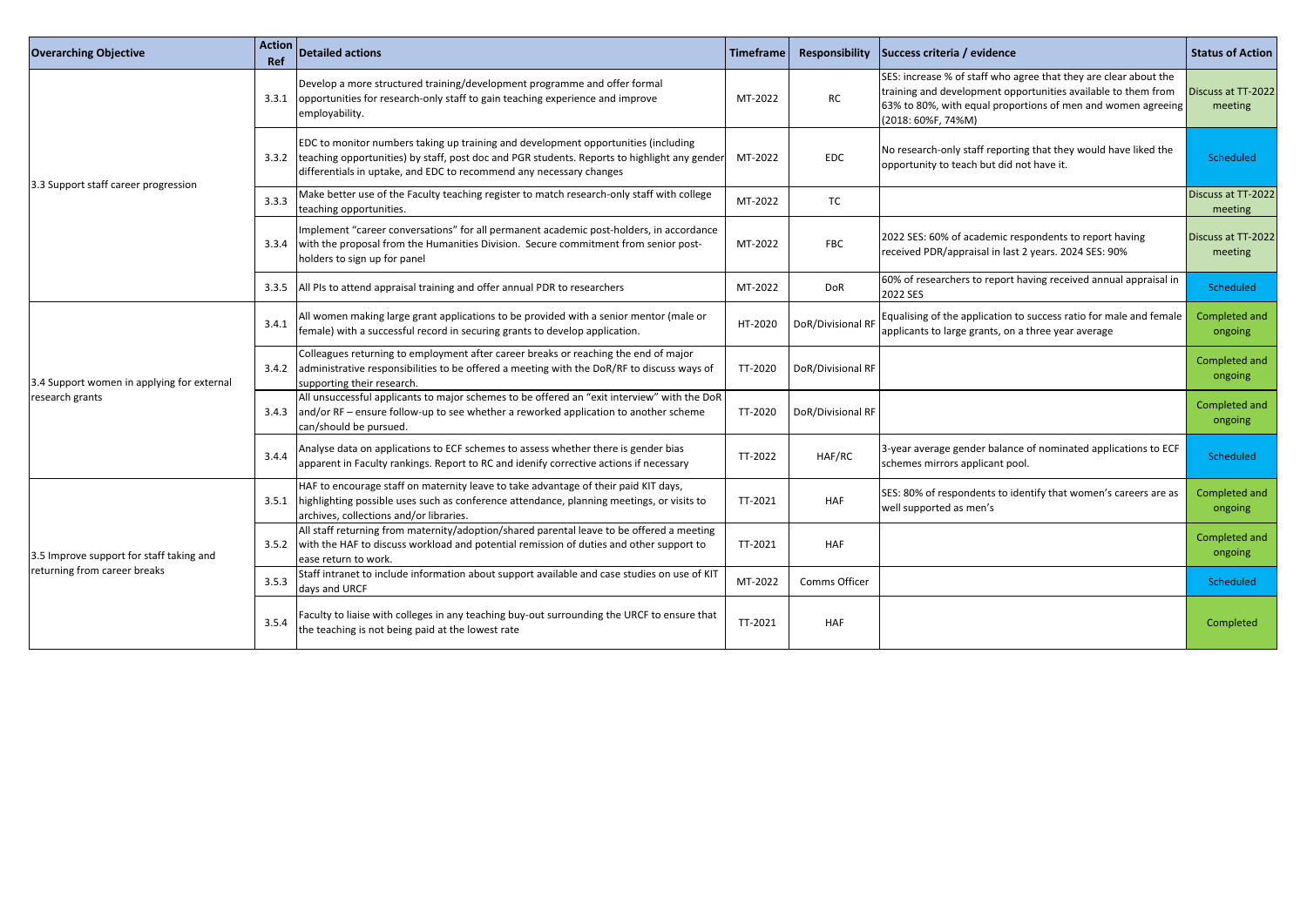| <b>Overarching Objective</b>                                             | <b>Action</b><br>Ref | Detailed actions                                                                                                                                                                                                                                                  | <b>Timeframe</b>                                                                                                                                                                                                                                                                                                                                                                                                                                                             | <b>Responsibility</b> | Success criteria / evidence                                                                                                                                                                                                | <b>Status of Action</b>       |
|--------------------------------------------------------------------------|----------------------|-------------------------------------------------------------------------------------------------------------------------------------------------------------------------------------------------------------------------------------------------------------------|------------------------------------------------------------------------------------------------------------------------------------------------------------------------------------------------------------------------------------------------------------------------------------------------------------------------------------------------------------------------------------------------------------------------------------------------------------------------------|-----------------------|----------------------------------------------------------------------------------------------------------------------------------------------------------------------------------------------------------------------------|-------------------------------|
|                                                                          | 3.3.1                | Develop a more structured training/development programme and offer formal<br>opportunities for research-only staff to gain teaching experience and improve<br>employability.                                                                                      | MT-2022                                                                                                                                                                                                                                                                                                                                                                                                                                                                      | RC                    | SES: increase % of staff who agree that they are clear about the<br>training and development opportunities available to them from<br>63% to 80%, with equal proportions of men and women agreeing<br>$(2018:60\%F, 74\%M)$ | Discuss at TT-2022<br>meeting |
| 3.3 Support staff career progression                                     |                      | EDC to monitor numbers taking up training and development opportunities (including<br>3.3.2   teaching opportunities) by staff, post doc and PGR students. Reports to highlight any gender<br>differentials in uptake, and EDC to recommend any necessary changes | MT-2022                                                                                                                                                                                                                                                                                                                                                                                                                                                                      | <b>EDC</b>            | No research-only staff reporting that they would have liked the<br>opportunity to teach but did not have it.                                                                                                               | Scheduled                     |
|                                                                          | 3.3.3                | Make better use of the Faculty teaching register to match research-only staff with college<br>teaching opportunities.                                                                                                                                             | MT-2022                                                                                                                                                                                                                                                                                                                                                                                                                                                                      | TC                    |                                                                                                                                                                                                                            | Discuss at TT-2022<br>meeting |
|                                                                          | 3.3.4                | Implement "career conversations" for all permanent academic post-holders, in accordance<br>with the proposal from the Humanities Division. Secure commitment from senior post-<br>holders to sign up for panel                                                    | MT-2022                                                                                                                                                                                                                                                                                                                                                                                                                                                                      | <b>FBC</b>            | 2022 SES: 60% of academic respondents to report having<br>received PDR/appraisal in last 2 years. 2024 SES: 90%                                                                                                            | Discuss at TT-2022<br>meeting |
|                                                                          | 3.3.5                | All PIs to attend appraisal training and offer annual PDR to researchers                                                                                                                                                                                          | MT-2022                                                                                                                                                                                                                                                                                                                                                                                                                                                                      | <b>DoR</b>            | 60% of researchers to report having received annual appraisal in                                                                                                                                                           | Scheduled                     |
|                                                                          | 3.4.1                | All women making large grant applications to be provided with a senior mentor (male or<br>female) with a successful record in securing grants to develop application.                                                                                             | HT-2020                                                                                                                                                                                                                                                                                                                                                                                                                                                                      |                       |                                                                                                                                                                                                                            | Completed and<br>ongoing      |
| 3.4 Support women in applying for external                               | 3.4.2                | Colleagues returning to employment after career breaks or reaching the end of major<br>administrative responsibilities to be offered a meeting with the DoR/RF to discuss ways of<br>supporting their research.                                                   | TT-2020                                                                                                                                                                                                                                                                                                                                                                                                                                                                      |                       |                                                                                                                                                                                                                            | Completed and<br>ongoing      |
| research grants                                                          |                      | All unsuccessful applicants to major schemes to be offered an "exit interview" with the DoR<br>3.4.3 and/or RF – ensure follow-up to see whether a reworked application to another scheme<br>can/should be pursued.                                               | TT-2020                                                                                                                                                                                                                                                                                                                                                                                                                                                                      |                       |                                                                                                                                                                                                                            | Completed and<br>ongoing      |
|                                                                          | 3.4.4                | Analyse data on applications to ECF schemes to assess whether there is gender bias<br>apparent in Faculty rankings. Report to RC and idenify corrective actions if necessary                                                                                      | 2022 SES<br>DoR/Divisional RF Equalising of the application to success ratio for male and female<br>applicants to large grants, on a three year average<br>DoR/Divisional RF<br>DoR/Divisional RF<br>3-year average gender balance of nominated applications to ECF<br>TT-2022<br>HAF/RC<br>Scheduled<br>schemes mirrors applicant pool.<br>SES: 80% of respondents to identify that women's careers are as  <br>TT-2021<br><b>HAF</b><br>well supported as men's<br>ongoing |                       |                                                                                                                                                                                                                            |                               |
|                                                                          |                      | HAF to encourage staff on maternity leave to take advantage of their paid KIT days,<br>3.5.1 highlighting possible uses such as conference attendance, planning meetings, or visits to<br>archives, collections and/or libraries.                                 |                                                                                                                                                                                                                                                                                                                                                                                                                                                                              |                       |                                                                                                                                                                                                                            | Completed and                 |
| 3.5 Improve support for staff taking and<br>returning from career breaks |                      | All staff returning from maternity/adoption/shared parental leave to be offered a meeting<br>3.5.2 with the HAF to discuss workload and potential remission of duties and other support to<br>ease return to work.                                                | TT-2021                                                                                                                                                                                                                                                                                                                                                                                                                                                                      | <b>HAF</b>            |                                                                                                                                                                                                                            | Completed and<br>ongoing      |
|                                                                          | 3.5.3                | Staff intranet to include information about support available and case studies on use of KIT<br>days and URCF                                                                                                                                                     | MT-2022                                                                                                                                                                                                                                                                                                                                                                                                                                                                      | Comms Officer         |                                                                                                                                                                                                                            | Scheduled                     |
|                                                                          | 3.5.4                | Faculty to liaise with colleges in any teaching buy-out surrounding the URCF to ensure that<br>the teaching is not being paid at the lowest rate                                                                                                                  | TT-2021                                                                                                                                                                                                                                                                                                                                                                                                                                                                      | <b>HAF</b>            |                                                                                                                                                                                                                            | Completed                     |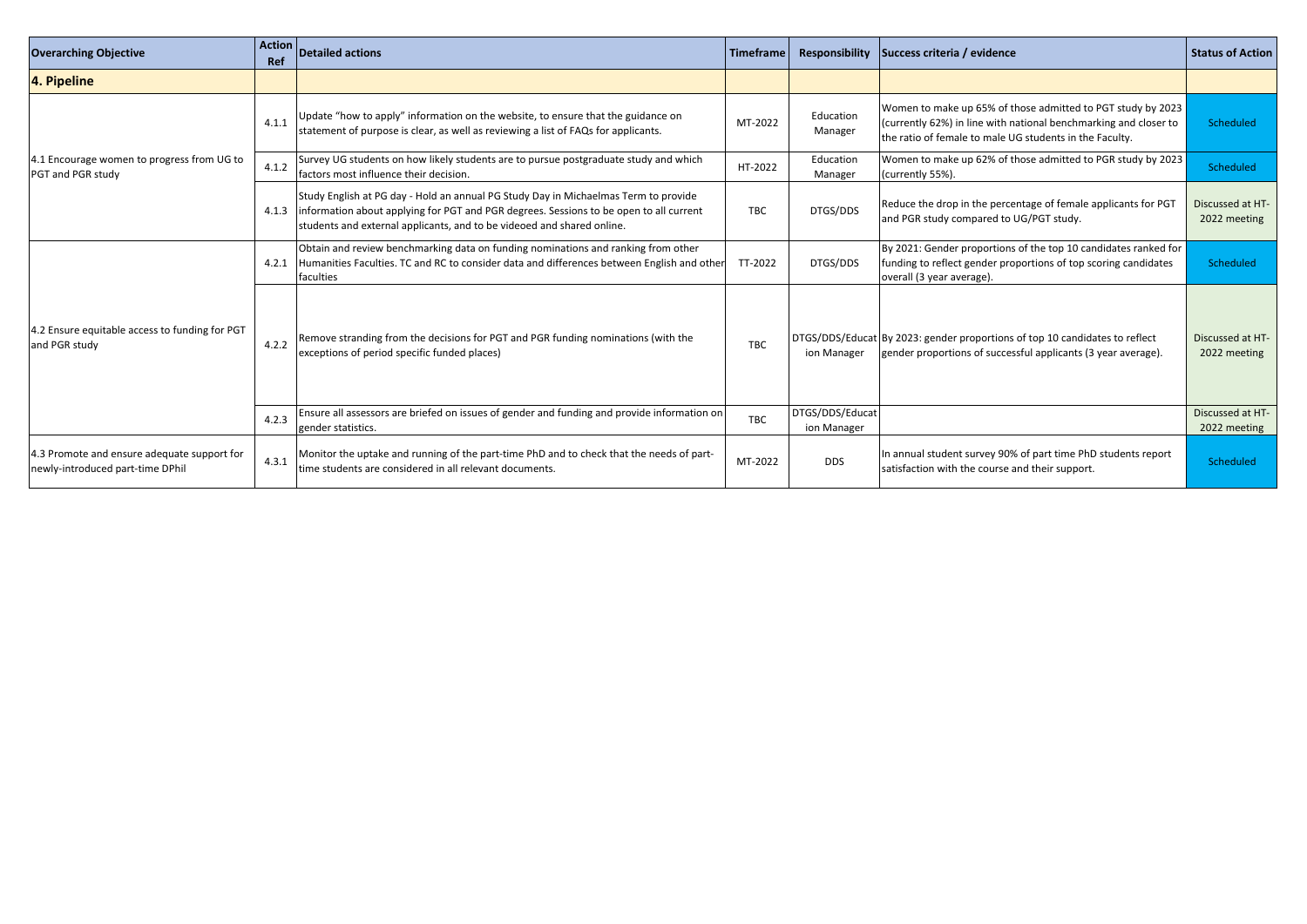| <b>Overarching Objective</b>                                                    | <b>Action</b><br>Ref | Detailed actions                                                                                                                                                                                                                                        | <b>Timeframe</b> | <b>Responsibility</b><br>Success criteria / evidence |                                                                                                                                                                                            | <b>Status of Action</b>          |
|---------------------------------------------------------------------------------|----------------------|---------------------------------------------------------------------------------------------------------------------------------------------------------------------------------------------------------------------------------------------------------|------------------|------------------------------------------------------|--------------------------------------------------------------------------------------------------------------------------------------------------------------------------------------------|----------------------------------|
| 4. Pipeline                                                                     |                      |                                                                                                                                                                                                                                                         |                  |                                                      |                                                                                                                                                                                            |                                  |
| 4.1 Encourage women to progress from UG to<br>PGT and PGR study                 | 4.1.1                | Update "how to apply" information on the website, to ensure that the guidance on<br>statement of purpose is clear, as well as reviewing a list of FAQs for applicants.                                                                                  | MT-2022          | Education<br>Manager                                 | Women to make up 65% of those admitted to PGT study by 2023<br>(currently 62%) in line with national benchmarking and closer to<br>the ratio of female to male UG students in the Faculty. | Scheduled                        |
|                                                                                 | 4.1.2                | Survey UG students on how likely students are to pursue postgraduate study and which<br>factors most influence their decision.                                                                                                                          | HT-2022          | Education<br>Manager                                 | Women to make up 62% of those admitted to PGR study by 2023<br>(currently 55%).                                                                                                            | Scheduled                        |
|                                                                                 | 4.1.3                | Study English at PG day - Hold an annual PG Study Day in Michaelmas Term to provide<br>information about applying for PGT and PGR degrees. Sessions to be open to all current<br>students and external applicants, and to be videoed and shared online. | <b>TBC</b>       | DTGS/DDS                                             | Reduce the drop in the percentage of female applicants for PGT<br>and PGR study compared to UG/PGT study.                                                                                  | Discussed at HT-<br>2022 meeting |
|                                                                                 | 4.2.1                | Obtain and review benchmarking data on funding nominations and ranking from other<br>Humanities Faculties. TC and RC to consider data and differences between English and other<br>faculties                                                            | TT-2022          | DTGS/DDS                                             | By 2021: Gender proportions of the top 10 candidates ranked for<br>funding to reflect gender proportions of top scoring candidates<br>overall (3 year average).                            | Scheduled                        |
| 4.2 Ensure equitable access to funding for PGT<br>and PGR study                 | 4.2.2                | Remove stranding from the decisions for PGT and PGR funding nominations (with the<br>exceptions of period specific funded places)                                                                                                                       | <b>TBC</b>       | ion Manager                                          | DTGS/DDS/Educat By 2023: gender proportions of top 10 candidates to reflect<br>gender proportions of successful applicants (3 year average).                                               | Discussed at HT-<br>2022 meeting |
|                                                                                 | 4.2.3                | Ensure all assessors are briefed on issues of gender and funding and provide information on<br>gender statistics.                                                                                                                                       | <b>TBC</b>       | DTGS/DDS/Educat<br>ion Manager                       |                                                                                                                                                                                            | Discussed at HT-<br>2022 meeting |
| 4.3 Promote and ensure adequate support for<br>newly-introduced part-time DPhil | 4.3.1                | Monitor the uptake and running of the part-time PhD and to check that the needs of part-<br>time students are considered in all relevant documents.                                                                                                     | MT-2022          | <b>DDS</b>                                           | In annual student survey 90% of part time PhD students report<br>satisfaction with the course and their support.                                                                           | Scheduled                        |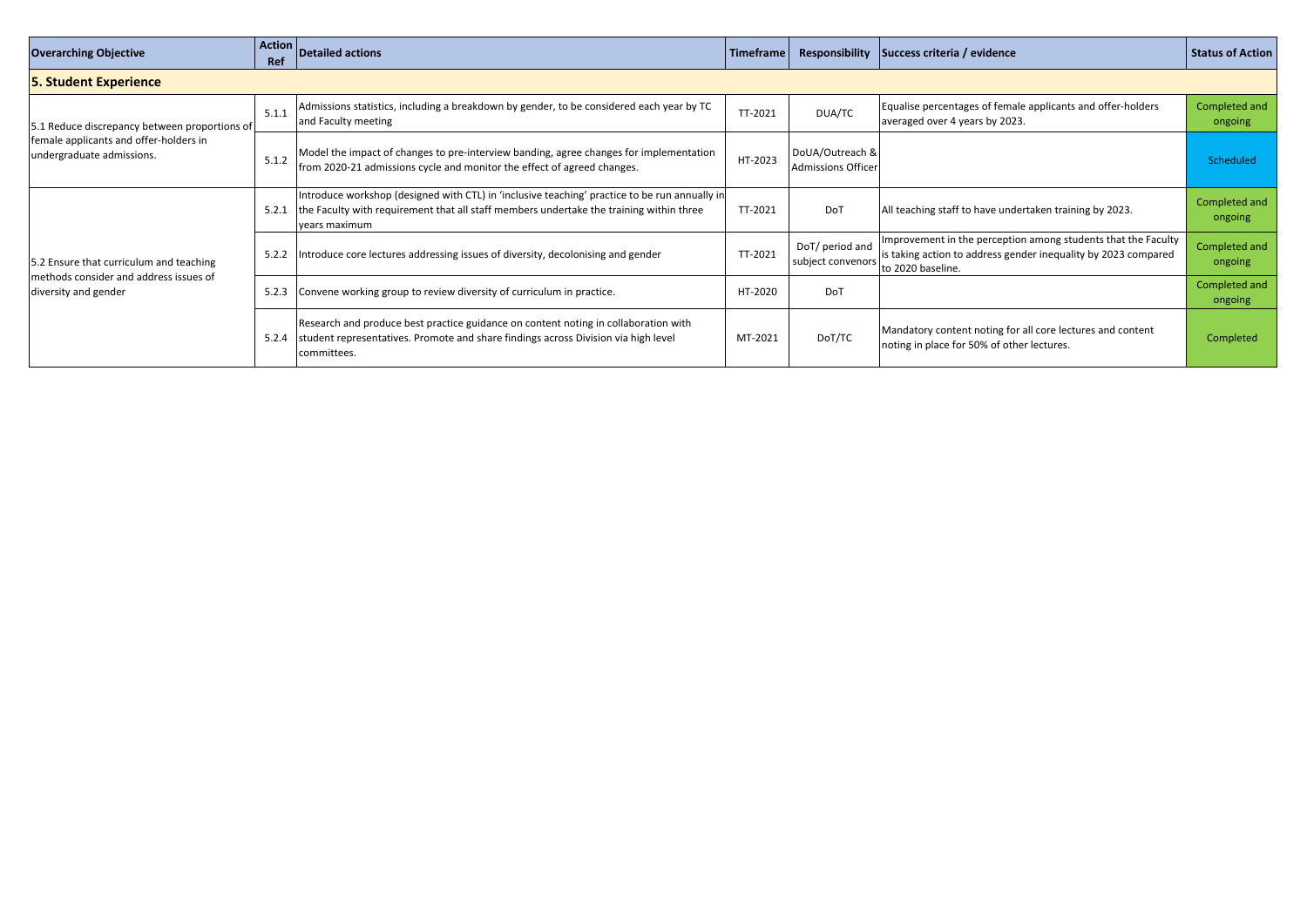| <b>Overarching Objective</b>                                                                                         | <b>Action</b><br>Ref | <b>Detailed actions</b>                                                                                                                                                                                   | <b>Timeframe</b> | <b>Responsibility</b>                 | Success criteria / evidence                                                                                                                          | <b>Status of Action</b>  |
|----------------------------------------------------------------------------------------------------------------------|----------------------|-----------------------------------------------------------------------------------------------------------------------------------------------------------------------------------------------------------|------------------|---------------------------------------|------------------------------------------------------------------------------------------------------------------------------------------------------|--------------------------|
| <b>5. Student Experience</b>                                                                                         |                      |                                                                                                                                                                                                           |                  |                                       |                                                                                                                                                      |                          |
| 5.1 Reduce discrepancy between proportions of<br>female applicants and offer-holders in<br>undergraduate admissions. | 5.1.1                | Admissions statistics, including a breakdown by gender, to be considered each year by TC<br>and Faculty meeting                                                                                           | TT-2021          | DUA/TC                                | Equalise percentages of female applicants and offer-holders<br>averaged over 4 years by 2023.                                                        | Completed and<br>ongoing |
|                                                                                                                      | 5.1.2                | Model the impact of changes to pre-interview banding, agree changes for implementation<br>from 2020-21 admissions cycle and monitor the effect of agreed changes.                                         | HT-2023          | DoUA/Outreach &<br>Admissions Officer |                                                                                                                                                      | Scheduled                |
|                                                                                                                      | 5.2.1                | Introduce workshop (designed with CTL) in 'inclusive teaching' practice to be run annually in<br>the Faculty with requirement that all staff members undertake the training within three<br>vears maximum | TT-2021          | <b>DoT</b>                            | All teaching staff to have undertaken training by 2023.                                                                                              | Completed and<br>ongoing |
| 5.2 Ensure that curriculum and teaching                                                                              | 5.2.2                | Introduce core lectures addressing issues of diversity, decolonising and gender                                                                                                                           | TT-2021          | DoT/ period and<br>subject convenors  | Improvement in the perception among students that the Faculty<br>is taking action to address gender inequality by 2023 compared<br>to 2020 baseline. | Completed and<br>ongoing |
| methods consider and address issues of<br>diversity and gender                                                       | 5.2.3                | Convene working group to review diversity of curriculum in practice.                                                                                                                                      | HT-2020          | DoT                                   |                                                                                                                                                      | Completed and<br>ongoing |
|                                                                                                                      | 5.2.4                | Research and produce best practice guidance on content noting in collaboration with<br>student representatives. Promote and share findings across Division via high level<br>committees.                  | MT-2021          | DoT/TC                                | Mandatory content noting for all core lectures and content<br>noting in place for 50% of other lectures.                                             | Completed                |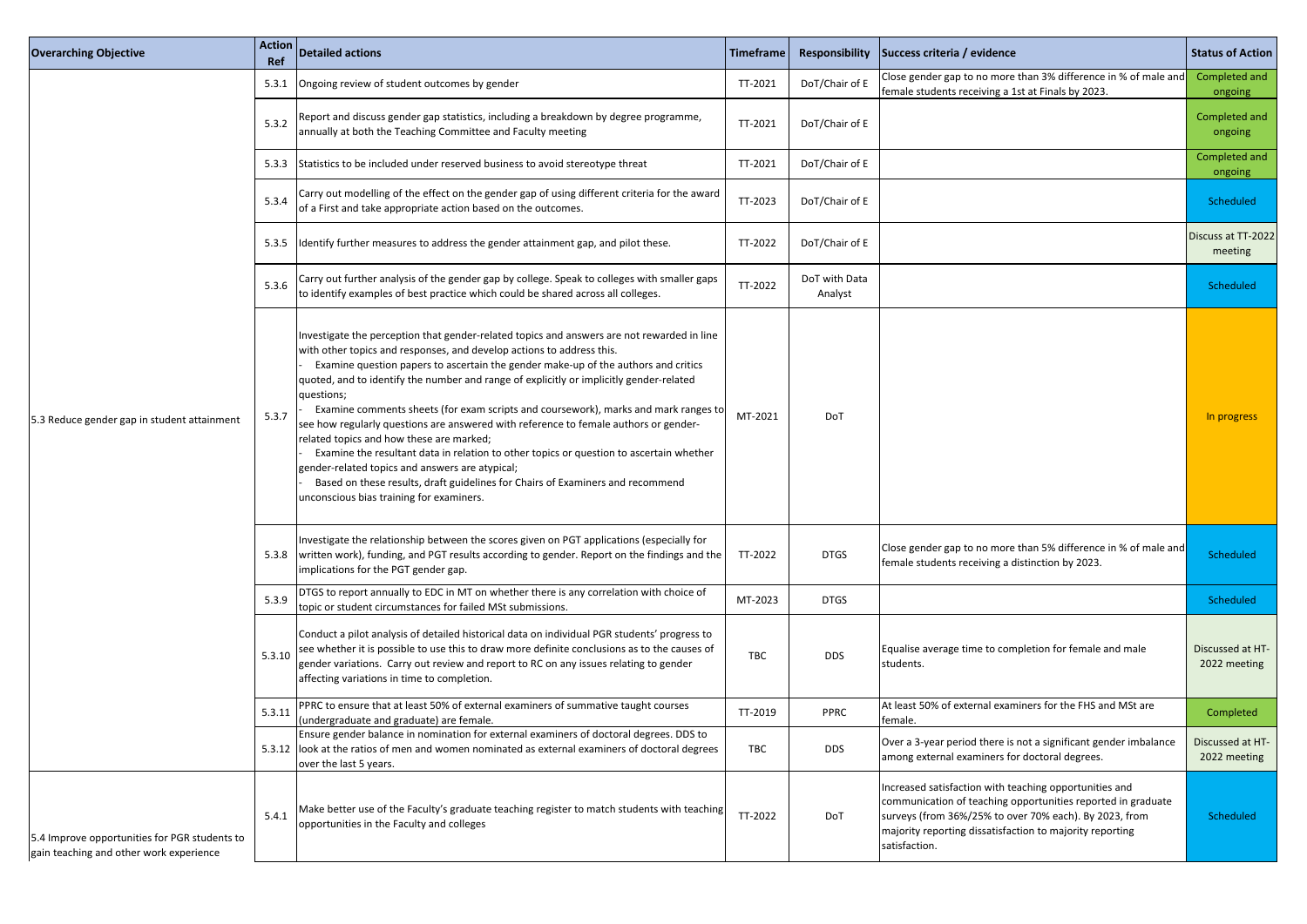| <b>Overarching Objective</b>                                                             | Action<br>Ref | Detailed actions                                                                                                                                                                                                                                                                                                                                                                                                                                                                                                                                                                                                                                                                                                                                                                                                                                                          | Timeframe  | <b>Responsibility</b>    | Success criteria / evidence                                                                                                                                                                                                                                   | <b>Status of Action</b>          |
|------------------------------------------------------------------------------------------|---------------|---------------------------------------------------------------------------------------------------------------------------------------------------------------------------------------------------------------------------------------------------------------------------------------------------------------------------------------------------------------------------------------------------------------------------------------------------------------------------------------------------------------------------------------------------------------------------------------------------------------------------------------------------------------------------------------------------------------------------------------------------------------------------------------------------------------------------------------------------------------------------|------------|--------------------------|---------------------------------------------------------------------------------------------------------------------------------------------------------------------------------------------------------------------------------------------------------------|----------------------------------|
|                                                                                          | 5.3.1         | Ongoing review of student outcomes by gender                                                                                                                                                                                                                                                                                                                                                                                                                                                                                                                                                                                                                                                                                                                                                                                                                              | TT-2021    | DoT/Chair of E           | Close gender gap to no more than 3% difference in % of male and<br>female students receiving a 1st at Finals by 2023.                                                                                                                                         | Completed and<br>ongoing         |
|                                                                                          | 5.3.2         | Report and discuss gender gap statistics, including a breakdown by degree programme,<br>annually at both the Teaching Committee and Faculty meeting                                                                                                                                                                                                                                                                                                                                                                                                                                                                                                                                                                                                                                                                                                                       | TT-2021    | DoT/Chair of E           |                                                                                                                                                                                                                                                               | Completed and<br>ongoing         |
|                                                                                          | 5.3.3         | Statistics to be included under reserved business to avoid stereotype threat                                                                                                                                                                                                                                                                                                                                                                                                                                                                                                                                                                                                                                                                                                                                                                                              | TT-2021    | DoT/Chair of E           |                                                                                                                                                                                                                                                               | Completed and<br>ongoing         |
|                                                                                          | 5.3.4         | Carry out modelling of the effect on the gender gap of using different criteria for the award<br>of a First and take appropriate action based on the outcomes.                                                                                                                                                                                                                                                                                                                                                                                                                                                                                                                                                                                                                                                                                                            | TT-2023    | DoT/Chair of E           |                                                                                                                                                                                                                                                               | Scheduled                        |
|                                                                                          | 5.3.5         | ldentify further measures to address the gender attainment gap, and pilot these.                                                                                                                                                                                                                                                                                                                                                                                                                                                                                                                                                                                                                                                                                                                                                                                          | TT-2022    | DoT/Chair of E           |                                                                                                                                                                                                                                                               | Discuss at TT-202<br>meeting     |
|                                                                                          | 5.3.6         | Carry out further analysis of the gender gap by college. Speak to colleges with smaller gaps<br>to identify examples of best practice which could be shared across all colleges.                                                                                                                                                                                                                                                                                                                                                                                                                                                                                                                                                                                                                                                                                          | TT-2022    | DoT with Data<br>Analyst |                                                                                                                                                                                                                                                               | Scheduled                        |
| 5.3 Reduce gender gap in student attainment                                              | 5.3.7         | Investigate the perception that gender-related topics and answers are not rewarded in line<br>with other topics and responses, and develop actions to address this.<br>Examine question papers to ascertain the gender make-up of the authors and critics<br>quoted, and to identify the number and range of explicitly or implicitly gender-related<br>questions;<br>Examine comments sheets (for exam scripts and coursework), marks and mark ranges to<br>see how regularly questions are answered with reference to female authors or gender-<br>related topics and how these are marked;<br>Examine the resultant data in relation to other topics or question to ascertain whether<br>gender-related topics and answers are atypical;<br>Based on these results, draft guidelines for Chairs of Examiners and recommend<br>unconscious bias training for examiners. | MT-2021    | DoT                      |                                                                                                                                                                                                                                                               | In progress                      |
|                                                                                          | 5.3.8         | Investigate the relationship between the scores given on PGT applications (especially for<br>written work), funding, and PGT results according to gender. Report on the findings and the<br>implications for the PGT gender gap.                                                                                                                                                                                                                                                                                                                                                                                                                                                                                                                                                                                                                                          | TT-2022    | <b>DTGS</b>              | Close gender gap to no more than 5% difference in % of male and<br>female students receiving a distinction by 2023.                                                                                                                                           | Scheduled                        |
|                                                                                          | 5.3.9         | DTGS to report annually to EDC in MT on whether there is any correlation with choice of<br>topic or student circumstances for failed MSt submissions.                                                                                                                                                                                                                                                                                                                                                                                                                                                                                                                                                                                                                                                                                                                     | MT-2023    | <b>DTGS</b>              |                                                                                                                                                                                                                                                               | Scheduled                        |
|                                                                                          | 5.3.10        | Conduct a pilot analysis of detailed historical data on individual PGR students' progress to<br>see whether it is possible to use this to draw more definite conclusions as to the causes of<br>gender variations. Carry out review and report to RC on any issues relating to gender<br>affecting variations in time to completion.                                                                                                                                                                                                                                                                                                                                                                                                                                                                                                                                      | <b>TBC</b> | <b>DDS</b>               | Equalise average time to completion for female and male<br>students.                                                                                                                                                                                          | Discussed at HT-<br>2022 meeting |
|                                                                                          | 5.3.11        | PPRC to ensure that at least 50% of external examiners of summative taught courses<br>(undergraduate and graduate) are female.                                                                                                                                                                                                                                                                                                                                                                                                                                                                                                                                                                                                                                                                                                                                            | TT-2019    | <b>PPRC</b>              | At least 50% of external examiners for the FHS and MSt are<br>female.                                                                                                                                                                                         | Completed                        |
|                                                                                          |               | Ensure gender balance in nomination for external examiners of doctoral degrees. DDS to<br>5.3.12 look at the ratios of men and women nominated as external examiners of doctoral degrees<br>over the last 5 years.                                                                                                                                                                                                                                                                                                                                                                                                                                                                                                                                                                                                                                                        | TBC        | <b>DDS</b>               | Over a 3-year period there is not a significant gender imbalance<br>among external examiners for doctoral degrees.                                                                                                                                            | Discussed at HT-<br>2022 meeting |
| 5.4 Improve opportunities for PGR students to<br>gain teaching and other work experience | 5.4.1         | Make better use of the Faculty's graduate teaching register to match students with teaching<br>opportunities in the Faculty and colleges                                                                                                                                                                                                                                                                                                                                                                                                                                                                                                                                                                                                                                                                                                                                  | TT-2022    | DoT                      | Increased satisfaction with teaching opportunities and<br>communication of teaching opportunities reported in graduate<br>surveys (from 36%/25% to over 70% each). By 2023, from<br>majority reporting dissatisfaction to majority reporting<br>satisfaction. | Scheduled                        |

| imeframe   | <b>Responsibility</b>    | Success criteria / evidence                                                                                                                                                                                                                                   | <b>Status of Action</b>          |
|------------|--------------------------|---------------------------------------------------------------------------------------------------------------------------------------------------------------------------------------------------------------------------------------------------------------|----------------------------------|
| TT-2021    | DoT/Chair of E           | Close gender gap to no more than 3% difference in % of male and<br>female students receiving a 1st at Finals by 2023.                                                                                                                                         | Completed and<br>ongoing         |
| TT-2021    | DoT/Chair of E           |                                                                                                                                                                                                                                                               | Completed and<br>ongoing         |
| TT-2021    | DoT/Chair of E           |                                                                                                                                                                                                                                                               | Completed and<br>ongoing         |
| TT-2023    | DoT/Chair of E           |                                                                                                                                                                                                                                                               | Scheduled                        |
| TT-2022    | DoT/Chair of E           |                                                                                                                                                                                                                                                               | Discuss at TT-2022<br>meeting    |
| TT-2022    | DoT with Data<br>Analyst |                                                                                                                                                                                                                                                               | Scheduled                        |
| MT-2021    | DoT                      |                                                                                                                                                                                                                                                               | In progress                      |
| TT-2022    | <b>DTGS</b>              | Close gender gap to no more than 5% difference in % of male and<br>female students receiving a distinction by 2023.                                                                                                                                           | Scheduled                        |
| MT-2023    | <b>DTGS</b>              |                                                                                                                                                                                                                                                               | <b>Scheduled</b>                 |
| <b>TBC</b> | <b>DDS</b>               | Equalise average time to completion for female and male<br>students.                                                                                                                                                                                          | Discussed at HT-<br>2022 meeting |
| TT-2019    | <b>PPRC</b>              | At least 50% of external examiners for the FHS and MSt are<br>female.                                                                                                                                                                                         | Completed                        |
| <b>TBC</b> | <b>DDS</b>               | Over a 3-year period there is not a significant gender imbalance<br>among external examiners for doctoral degrees.                                                                                                                                            | Discussed at HT-<br>2022 meeting |
| TT-2022    | <b>DoT</b>               | Increased satisfaction with teaching opportunities and<br>communication of teaching opportunities reported in graduate<br>surveys (from 36%/25% to over 70% each). By 2023, from<br>majority reporting dissatisfaction to majority reporting<br>satisfaction. | Scheduled                        |